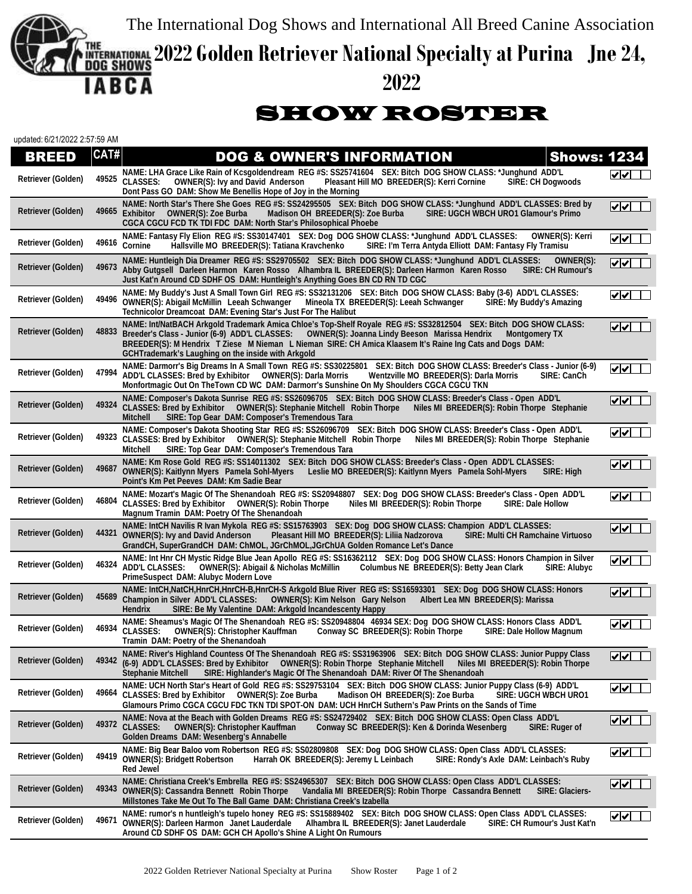

**EXAMPLE ANATIONAL 2022 Golden Retriever National Specialty at Purina Jne 24,<br><u>DOG SHOWS</u>** 

IABCA

**2022**

## SHOW ROSTER

| updated: 6/21/2022 2:57:59 AM |       |                                                                                                                                                                                                                                                                                                                                                                                                                  |                                                          |
|-------------------------------|-------|------------------------------------------------------------------------------------------------------------------------------------------------------------------------------------------------------------------------------------------------------------------------------------------------------------------------------------------------------------------------------------------------------------------|----------------------------------------------------------|
| BREED                         | CATH  | <b>Shows: 1234</b><br><b>DOG &amp; OWNER'S INFORMATION</b>                                                                                                                                                                                                                                                                                                                                                       |                                                          |
| Retriever (Golden)            |       | NAME: LHA Grace Like Rain of Kcsgoldendream REG #S: SS25741604 SEX: Bitch DOG SHOW CLASS: *Junghund ADD'L<br>49525 CLASSES:<br><b>OWNER(S): Ivy and David Anderson</b><br>Pleasant Hill MO BREEDER(S): Kerri Cornine<br><b>SIRE: CH Dogwoods</b><br>Dont Pass GO DAM: Show Me Benellis Hope of Joy in the Morning                                                                                                | $\overline{\mathsf{v}}$ $\overline{\mathsf{v}}$          |
| <b>Retriever (Golden)</b>     | 49665 | NAME: North Star's There She Goes REG #S: SS24295505 SEX: Bitch DOG SHOW CLASS: *Junghund ADD'L CLASSES: Bred by<br><b>Exhibitor</b><br><b>OWNER(S): Zoe Burba</b><br>Madison OH BREEDER(S): Zoe Burba<br>SIRE: UGCH WBCH URO1 Glamour's Primo<br>CGCA CGCU FCD TK TDI FDC DAM: North Star's Philosophical Phoebe                                                                                                | ∣⊽√                                                      |
| Retriever (Golden)            |       | NAME: Fantasy Fly Elion REG #S: SS30147401 SEX: Dog DOG SHOW CLASS: *Junghund ADD'L CLASSES:<br>OWNER(S): Kerri<br>49616 Cornine<br>Hallsville MO BREEDER(S): Tatiana Kravchenko<br>SIRE: I'm Terra Antyda Elliott DAM: Fantasy Fly Tramisu                                                                                                                                                                      | է∤⊽                                                      |
| <b>Retriever (Golden)</b>     | 49673 | NAME: Huntleigh Dia Dreamer REG #S: SS29705502 SEX: Bitch DOG SHOW CLASS: *Junghund ADD'L CLASSES:<br>OWNER(S):<br>Abby Gutgsell Darleen Harmon Karen Rosso Alhambra IL BREEDER(S): Darleen Harmon Karen Rosso<br><b>SIRE: CH Rumour's</b><br>Just Kat'n Around CD SDHF OS DAM: Huntleigh's Anything Goes BN CD RN TD CGC                                                                                        | ⊽⊽ା                                                      |
| Retriever (Golden)            | 49496 | NAME: My Buddy's Just A Small Town Girl REG #S: SS32131206 SEX: Bitch DOG SHOW CLASS: Baby (3-6) ADD'L CLASSES:<br>OWNER(S): Abigail McMillin Leeah Schwanger Mineola TX BREEDER(S): Leeah Schwanger<br>SIRE: My Buddy's Amazing<br>Technicolor Dreamcoat DAM: Evening Star's Just For The Halibut                                                                                                               | $\sqrt{\sqrt{}}$                                         |
| <b>Retriever (Golden)</b>     | 48833 | NAME: Int/NatBACH Arkgold Trademark Amica Chloe's Top-Shelf Royale REG #S: SS32812504 SEX: Bitch DOG SHOW CLASS:<br>Breeder's Class - Junior (6-9) ADD'L CLASSES: OWNER(S): Joanna Lindy Beeson Marissa Hendrix<br><b>Montgomery TX</b><br>BREEDER(S): M Hendrix T Ziese M Nieman L Nieman SIRE: CH Amica Klaasem It's Raine Ing Cats and Dogs DAM:<br><b>GCHTrademark's Laughing on the inside with Arkgold</b> | $\sqrt{\sqrt{}}$                                         |
| Retriever (Golden)            | 47994 | NAME: Darmorr's Big Dreams In A Small Town REG #S: SS30225801 SEX: Bitch DOG SHOW CLASS: Breeder's Class - Junior (6-9)<br>ADD'L CLASSES: Bred by Exhibitor  OWNER(S): Darla Morris<br>Wentzville MO BREEDER(S): Darla Morris<br>SIRE: CanCh<br>Monfortmagic Out On TheTown CD WC DAM: Darmorr's Sunshine On My Shoulders CGCA CGCU TKN                                                                          | $\checkmark$                                             |
| Retriever (Golden)            |       | NAME: Composer's Dakota Sunrise REG #S: SS26096705 SEX: Bitch DOG SHOW CLASS: Breeder's Class - Open ADD'L<br>49324 CLASSES: Bred by Exhibitor OWNER(S): Stephanie Mitchell Robin Thorpe<br>Niles MI BREEDER(S): Robin Thorpe Stephanie<br><b>Mitchell</b><br>SIRE: Top Gear DAM: Composer's Tremendous Tara                                                                                                     | $\sqrt{ \mathbf{v}  +  \mathbf{v} ^2}$                   |
| Retriever (Golden)            | 49323 | NAME: Composer's Dakota Shooting Star REG #S: SS26096709 SEX: Bitch DOG SHOW CLASS: Breeder's Class - Open ADD'L<br>CLASSES: Bred by Exhibitor  OWNER(S): Stephanie Mitchell  Robin Thorpe<br>Niles MI BREEDER(S): Robin Thorpe Stephanie<br>SIRE: Top Gear DAM: Composer's Tremendous Tara<br>Mitchell                                                                                                          | $\sqrt{\sqrt{}}$                                         |
| <b>Retriever (Golden)</b>     | 49687 | NAME: Km Rose Gold REG #S: SS14011302 SEX: Bitch DOG SHOW CLASS: Breeder's Class - Open ADD'L CLASSES:<br><b>OWNER(S): Kaitlynn Myers Pamela Sohl-Myers</b><br>Leslie MO BREEDER(S): Kaitlynn Myers Pamela Sohl-Myers<br>SIRE: High<br>Point's Km Pet Peeves DAM: Km Sadie Bear                                                                                                                                  | $\blacktriangledown$ $\blacktriangledown$ $\blacksquare$ |
| Retriever (Golden)            | 46804 | NAME: Mozart's Magic Of The Shenandoah REG #S: SS20948807 SEX: Dog DOG SHOW CLASS: Breeder's Class - Open ADD'L<br>CLASSES: Bred by Exhibitor  OWNER(S): Robin Thorpe<br>Niles MI BREEDER(S): Robin Thorpe<br><b>SIRE: Dale Hollow</b><br>Magnum Tramin DAM: Poetry Of The Shenandoah                                                                                                                            | $\sqrt{\sqrt{}}$                                         |
| <b>Retriever (Golden)</b>     | 44321 | NAME: IntCH Navilis R Ivan Mykola REG #S: SS15763903 SEX: Dog DOG SHOW CLASS: Champion ADD'L CLASSES:<br><b>OWNER(S): Ivy and David Anderson</b><br>Pleasant Hill MO BREEDER(S): Liliia Nadzorova<br>SIRE: Multi CH Ramchaine Virtuoso<br>GrandCH, SuperGrandCH DAM: ChMOL, JGrChMOL,JGrChUA Golden Romance Let's Dance                                                                                          | $\sqrt{\sqrt{}}$                                         |
| Retriever (Golden)            | 46324 | NAME: Int Hnr CH Mystic Ridge Blue Jean Apollo REG #S: SS16362112 SEX: Dog DOG SHOW CLASS: Honors Champion in Silver<br><b>ADD'L CLASSES:</b><br><b>OWNER(S): Abigail &amp; Nicholas McMillin</b><br>Columbus NE BREEDER(S): Betty Jean Clark<br><b>SIRE: Alubyc</b><br>PrimeSuspect DAM: Alubyc Modern Love                                                                                                     | $ {\bf v} $                                              |
| <b>Retriever (Golden)</b>     | 45689 | NAME: IntCH,NatCH,HnrCH,HnrCH-B,HnrCH-S Arkgold Blue River REG #S: SS16593301 SEX: Dog DOG SHOW CLASS: Honors<br><b>Champion in Silver ADD'L CLASSES:</b><br>OWNER(S): Kim Nelson Gary Nelson<br>Albert Lea MN BREEDER(S): Marissa<br>SIRE: Be My Valentine DAM: Arkgold Incandescenty Happy<br><b>Hendrix</b>                                                                                                   | $\blacktriangledown$ $\blacktriangledown$ $\blacksquare$ |
| Retriever (Golden)            | 46934 | NAME: Sheamus's Magic Of The Shenandoah REG #S: SS20948804 46934 SEX: Dog DOG SHOW CLASS: Honors Class ADD'L<br><b>OWNER(S): Christopher Kauffman</b><br>Conway SC BREEDER(S): Robin Thorpe<br><b>CLASSES:</b><br>SIRE: Dale Hollow Magnum<br>Tramin DAM: Poetry of the Shenandoah                                                                                                                               | $\blacktriangledown$                                     |
| <b>Retriever (Golden)</b>     | 49342 | NAME: River's Highland Countess Of The Shenandoah REG #S: SS31963906 SEX: Bitch DOG SHOW CLASS: Junior Puppy Class<br><b>OWNER(S): Robin Thorpe Stephanie Mitchell</b><br>(6-9) ADD'L CLASSES: Bred by Exhibitor<br>Niles MI BREEDER(S): Robin Thorpe<br>SIRE: Highlander's Magic Of The Shenandoah DAM: River Of The Shenandoah<br><b>Stephanie Mitchell</b>                                                    | $  \bm{\mathsf{v}}  $                                    |
| Retriever (Golden)            | 49664 | NAME: UCH North Star's Heart of Gold REG #S: SS29753104 SEX: Bitch DOG SHOW CLASS: Junior Puppy Class (6-9) ADD'L<br>CLASSES: Bred by Exhibitor OWNER(S): Zoe Burba<br>Madison OH BREEDER(S): Zoe Burba<br><b>SIRE: UGCH WBCH URO1</b><br>Glamours Primo CGCA CGCU FDC TKN TDI SPOT-ON DAM: UCH HnrCH Suthern's Paw Prints on the Sands of Time                                                                  | $ {\boldsymbol{v}} $ v $ $                               |
| Retriever (Golden)            |       | NAME: Nova at the Beach with Golden Dreams REG #S: SS24729402 SEX: Bitch DOG SHOW CLASS: Open Class ADD'L<br>49372 CLASSES:<br><b>OWNER(S): Christopher Kauffman</b><br>Conway SC BREEDER(S): Ken & Dorinda Wesenberg<br>SIRE: Ruger of<br>Golden Dreams DAM: Wesenberg's Annabelle                                                                                                                              | ⊻⊻                                                       |
| Retriever (Golden)            | 49419 | NAME: Big Bear Baloo vom Robertson REG #S: SS02809808 SEX: Dog DOG SHOW CLASS: Open Class ADD'L CLASSES:<br><b>OWNER(S): Bridgett Robertson</b><br>Harrah OK BREEDER(S): Jeremy L Leinbach<br>SIRE: Rondy's Axle DAM: Leinbach's Ruby<br><b>Red Jewel</b>                                                                                                                                                        | ⊻⊻                                                       |
| <b>Retriever (Golden)</b>     | 49343 | NAME: Christiana Creek's Embrella REG #S: SS24965307 SEX: Bitch DOG SHOW CLASS: Open Class ADD'L CLASSES:<br><b>OWNER(S): Cassandra Bennett Robin Thorpe</b><br>Vandalia MI BREEDER(S): Robin Thorpe Cassandra Bennett<br>SIRE: Glaciers-<br>Millstones Take Me Out To The Ball Game DAM: Christiana Creek's Izabella                                                                                            | ⊻⊻⊥                                                      |
| Retriever (Golden)            | 49671 | NAME: rumor's n huntleigh's tupelo honey REG #S: SS15889402 SEX: Bitch DOG SHOW CLASS: Open Class ADD'L CLASSES:<br><b>OWNER(S): Darleen Harmon</b> Janet Lauderdale<br>Alhambra IL BREEDER(S): Janet Lauderdale<br>SIRE: CH Rumour's Just Kat'n<br>Around CD SDHF OS DAM: GCH CH Apollo's Shine A Light On Rumours                                                                                              | $ {\boldsymbol{v}} $ v $ $                               |